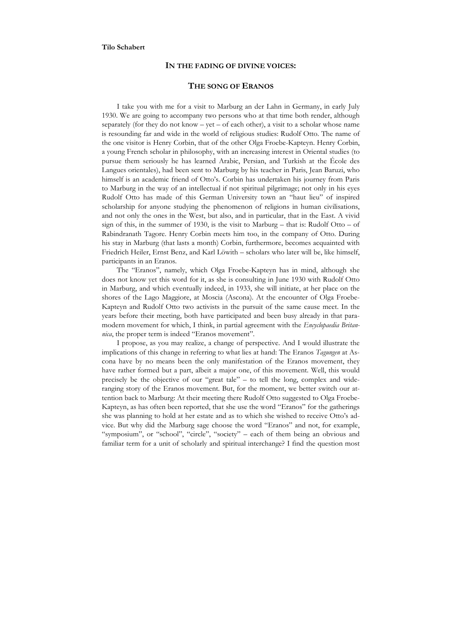## **Tilo Schabert**

### **IN THE FADING OF DIVINE VOICES:**

# **THE SONG OF ERANOS**

I take you with me for a visit to Marburg an der Lahn in Germany, in early July 1930. We are going to accompany two persons who at that time both render, although separately (for they do not know  $-$  yet  $-$  of each other), a visit to a scholar whose name is resounding far and wide in the world of religious studies: Rudolf Otto. The name of the one visitor is Henry Corbin, that of the other Olga Froebe-Kapteyn. Henry Corbin, a young French scholar in philosophy, with an increasing interest in Oriental studies (to pursue them seriously he has learned Arabic, Persian, and Turkish at the École des Langues orientales), had been sent to Marburg by his teacher in Paris, Jean Baruzi, who himself is an academic friend of Otto's. Corbin has undertaken his journey from Paris to Marburg in the way of an intellectual if not spiritual pilgrimage; not only in his eyes Rudolf Otto has made of this German University town an "haut lieu" of inspired scholarship for anyone studying the phenomenon of religions in human civilisations, and not only the ones in the West, but also, and in particular, that in the East. A vivid sign of this, in the summer of 1930, is the visit to Marburg – that is: Rudolf Otto – of Rabindranath Tagore. Henry Corbin meets him too, in the company of Otto. During his stay in Marburg (that lasts a month) Corbin, furthermore, becomes acquainted with Friedrich Heiler, Ernst Benz, and Karl Löwith – scholars who later will be, like himself, participants in an Eranos.

The "Eranos", namely, which Olga Froebe-Kapteyn has in mind, although she does not know yet this word for it, as she is consulting in June 1930 with Rudolf Otto in Marburg, and which eventually indeed, in 1933, she will initiate, at her place on the shores of the Lago Maggiore, at Moscia (Ascona). At the encounter of Olga Froebe-Kapteyn and Rudolf Otto two activists in the pursuit of the same cause meet. In the years before their meeting, both have participated and been busy already in that paramodern movement for which, I think, in partial agreement with the *Encyclopaedia Britannica*, the proper term is indeed "Eranos movement".

I propose, as you may realize, a change of perspective. And I would illustrate the implications of this change in referring to what lies at hand: The Eranos *Tagungen* at Ascona have by no means been the only manifestation of the Eranos movement, they have rather formed but a part, albeit a major one, of this movement. Well, this would precisely be the objective of our "great tale" – to tell the long, complex and wideranging story of the Eranos movement. But, for the moment, we better switch our attention back to Marburg: At their meeting there Rudolf Otto suggested to Olga Froebe-Kapteyn, as has often been reported, that she use the word "Eranos" for the gatherings she was planning to hold at her estate and as to which she wished to receive Otto's advice. But why did the Marburg sage choose the word "Eranos" and not, for example, "symposium", or "school", "circle", "society" – each of them being an obvious and familiar term for a unit of scholarly and spiritual interchange? I find the question most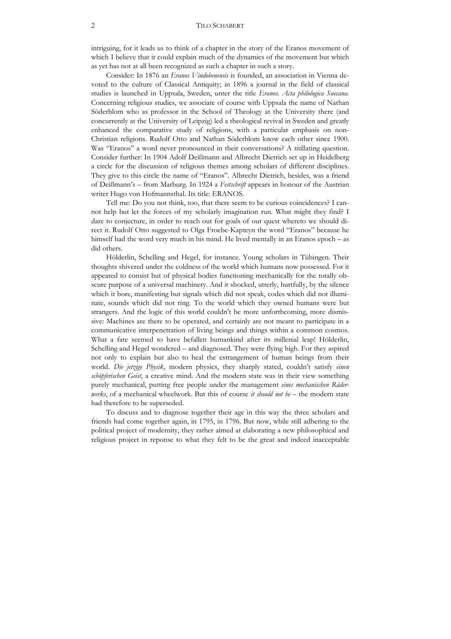### 2 TILO SCHABERT

intriguing, for it leads us to think of a chapter in the story of the Eranos movement of which I believe that it could explain much of the dynamics of the movement but which as yet has not at all been recognized as such a chapter in such a story.

Consider: In 1876 an *Eranos Vindobenensis* is founded, an association in Vienna devoted to the culture of Classical Antiquity; in 1896 a journal in the field of classical studies is launched in Uppsala, Sweden, unter the title *Eranos. Acta philologica Suecana*. Concerning religious studies, we associate of course with Uppsala the name of Nathan Söderblom who as professor in the School of Theology at the University there (and concurrently at the University of Leipzig) led a theological revival in Sweden and greatly enhanced the comparative study of religions, with a particular emphasis on non-Christian religions. Rudolf Otto and Nathan Söderblom know each other since 1900. Was "Eranos" a word never pronounced in their conversations? A titillating question. Consider further: In 1904 Adolf Deißmann and Albrecht Dietrich set up in Heidelberg a circle for the discussion of religious themes among scholars of different disciplines. They give to this circle the name of "Eranos". Albrecht Dietrich, besides, was a friend of Deißmann's – from Marburg. In 1924 a *Festschrift* appears in honour of the Austrian writer Hugo von Hofmannsthal. Its title: ERANOS.

Tell me: Do you not think, too, that there seem to be curious coincidences? I cannot help but let the forces of my scholarly imagination run. What might they find? I dare to conjecture, in order to reach out for goals of our quest whereto we should direct it. Rudolf Otto suggested to Olga Froebe-Kapteyn the word "Eranos" because he himself had the word very much in his mind. He lived mentally in an Eranos epoch – as did others.

Hölderlin, Schelling and Hegel, for instance. Young scholars in Tübingen. Their thoughts shivered under the coldness of the world which humans now possessed. For it appeared to consist but of physical bodies functioning mechanically for the totally obscure purpose of a universal machinery. And it shocked, utterly, hurtfully, by the silence which it bore, manifesting but signals which did not speak, codes which did not illuminate, sounds which did not ring. To the world which they owned humans were but strangers. And the logic of this world couldn't be more unforthcoming, more dismissive: Machines are there to be operated, and certainly are not meant to participate in a communicative interpenetration of living beings and things within a common cosmos. What a fate seemed to have befallen humankind after its millenial leap! Hölderlin, Schelling and Hegel wondered – and diagnosed. They were flying high. For they aspired not only to explain but also to heal the estrangement of human beings from their world. *Die jetzige Physik*, modern physics, they sharply stated, couldn't satisfy *einen schöpferischen Geist*, a creative mind. And the modern state was in their view something purely mechanical, putting free people under the management *eines mechanischen Räderwerks*, of a mechanical wheelwork. But this of course *it should not be* – the modern state had therefore to be superseded.

To discuss and to diagnose together their age in this way the three scholars and friends had come together again, in 1795, in 1796. But now, while still adhering to the political project of modernity, they rather aimed at elaborating a new philosophical and religious project in reponse to what they felt to be the great and indeed inacceptable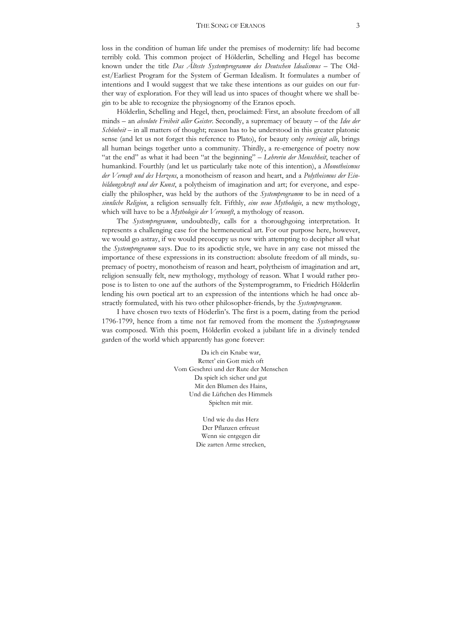loss in the condition of human life under the premises of modernity: life had become terribly cold. This common project of Hölderlin, Schelling and Hegel has become known under the title *Das Älteste Systemprogramm des Deutschen Idealismus* – The Oldest/Earliest Program for the System of German Idealism. It formulates a number of intentions and I would suggest that we take these intentions as our guides on our further way of exploration. For they will lead us into spaces of thought where we shall begin to be able to recognize the physiognomy of the Eranos epoch.

Hölderlin, Schelling and Hegel, then, proclaimed: First, an absolute freedom of all minds – an *absolute Freiheit aller Geister*. Secondly, a supremacy of beauty – of the *Idee der Schönheit* – in all matters of thought; reason has to be understood in this greater platonic sense (and let us not forget this reference to Plato), for beauty only *vereinigt alle*, brings all human beings together unto a community. Thirdly, a re-emergence of poetry now "at the end" as what it had been "at the beginning" – *Lehrerin der Menschheit*, teacher of humankind. Fourthly (and let us particularly take note of this intention), a *Monotheismus der Vernuft und des Herzens*, a monotheism of reason and heart, and a *Polytheismus der Einbildungskraft und der Kunst*, a polytheism of imagination and art; for everyone, and especially the philospher, was held by the authors of the *Systemprogramm* to be in need of a *sinnliche Religion*, a religion sensually felt. Fifthly, *eine neue Mythologie*, a new mythology, which will have to be a *Mythologie der Vernunft*, a mythology of reason.

The *Systemprogramm*, undoubtedly, calls for a thoroughgoing interpretation. It represents a challenging case for the hermeneutical art. For our purpose here, however, we would go astray, if we would preoccupy us now with attempting to decipher all what the *Systemprogramm* says. Due to its apodictic style, we have in any case not missed the importance of these expressions in its construction: absolute freedom of all minds, supremacy of poetry, monotheism of reason and heart, polytheism of imagination and art, religion sensually felt, new mythology, mythology of reason. What I would rather propose is to listen to one auf the authors of the Systemprogramm, to Friedrich Hölderlin lending his own poetical art to an expression of the intentions which he had once abstractly formulated, with his two other philosopher-friends, by the *Systemprogramm*.

I have chosen two texts of Höderlin's. The first is a poem, dating from the period 1796-1799, hence from a time not far removed from the moment the *Systemprogramm* was composed. With this poem, Hölderlin evoked a jubilant life in a divinely tended garden of the world which apparently has gone forever:

> Da ich ein Knabe war, Rettet' ein Gott mich oft Vom Geschrei und der Rute der Menschen Da spielt ich sicher und gut Mit den Blumen des Hains, Und die Lüftchen des Himmels Spielten mit mir.

> > Und wie du das Herz Der Pflanzen erfreust Wenn sie entgegen dir Die zarten Arme strecken,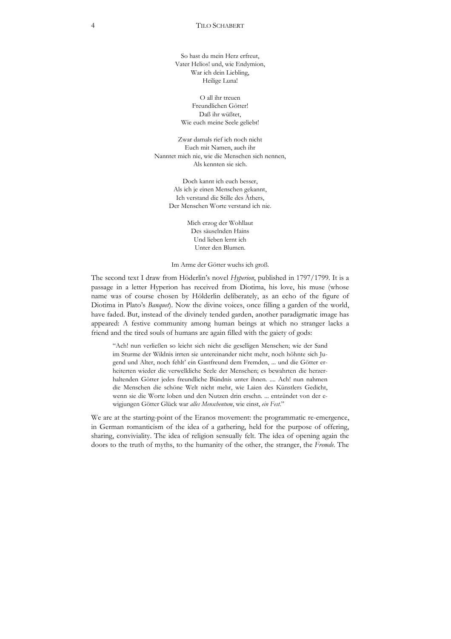So hast du mein Herz erfreut, Vater Helios! und, wie Endymion, War ich dein Liebling, Heilige Luna!

O all ihr treuen Freundlichen Götter! Daß ihr wüßtet, Wie euch meine Seele geliebt!

Zwar damals rief ich noch nicht Euch mit Namen, auch ihr Nanntet mich nie, wie die Menschen sich nennen, Als kennten sie sich.

> Doch kannt ich euch besser, Als ich je einen Menschen gekannt, Ich verstand die Stille des Äthers, Der Menschen Worte verstand ich nie.

> > Mich erzog der Wohllaut Des säuselnden Hains Und lieben lernt ich Unter den Blumen.

Im Arme der Götter wuchs ich groß.

The second text I draw from Höderlin's novel *Hyperion*, published in 1797/1799. It is a passage in a letter Hyperion has received from Diotima, his love, his muse (whose name was of course chosen by Hölderlin deliberately, as an echo of the figure of Diotima in Plato's *Banquet*). Now the divine voices, once filling a garden of the world, have faded. But, instead of the divinely tended garden, another paradigmatic image has appeared: A festive community among human beings at which no stranger lacks a friend and the tired souls of humans are again filled with the gaiety of gods:

"Ach! nun verließen so leicht sich nicht die geselligen Menschen; wie der Sand im Sturme der Wildnis irrten sie untereinander nicht mehr, noch höhnte sich Jugend und Alter, noch fehlt' ein Gastfreund dem Fremden, ... und die Götter erheiterten wieder die verwelkliche Seele der Menschen; es bewahrten die herzerhaltenden Götter jedes freundliche Bündnis unter ihnen. .... Ach! nun nahmen die Menschen die schöne Welt nicht mehr, wie Laien des Künstlers Gedicht, wenn sie die Worte loben und den Nutzen drin ersehn. ... entzündet von der ewigjungen Götter Glück war *alles Menschentum*, wie einst, *ein Fest*."

We are at the starting-point of the Eranos movement: the programmatic re-emergence, in German romanticism of the idea of a gathering, held for the purpose of offering, sharing, conviviality. The idea of religion sensually felt. The idea of opening again the doors to the truth of myths, to the humanity of the other, the stranger, the *Fremde*. The